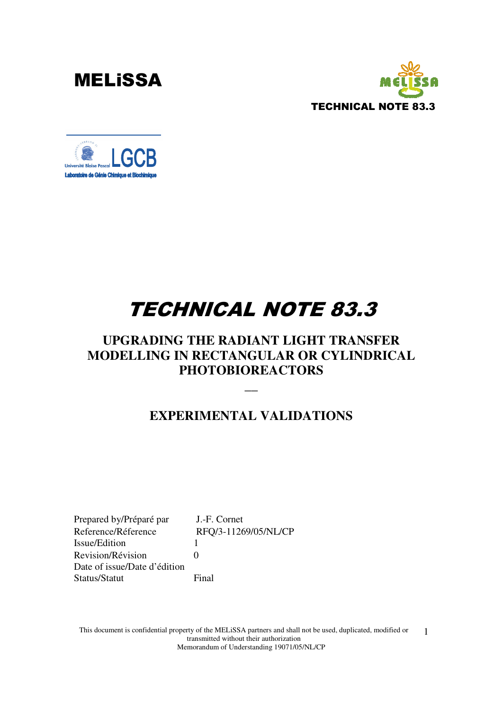



# TECHNICAL NOTE 83.3

### **UPGRADING THE RADIANT LIGHT TRANSFER MODELLING IN RECTANGULAR OR CYLINDRICAL PHOTOBIOREACTORS**

### **EXPERIMENTAL VALIDATIONS**

**\_\_** 

Prepared by/Préparé par J.-F. Cornet Reference/Réference RFQ/3-11269/05/NL/CP Issue/Edition 1 Revision/Révision 0 Date of issue/Date d'édition Status/Statut Final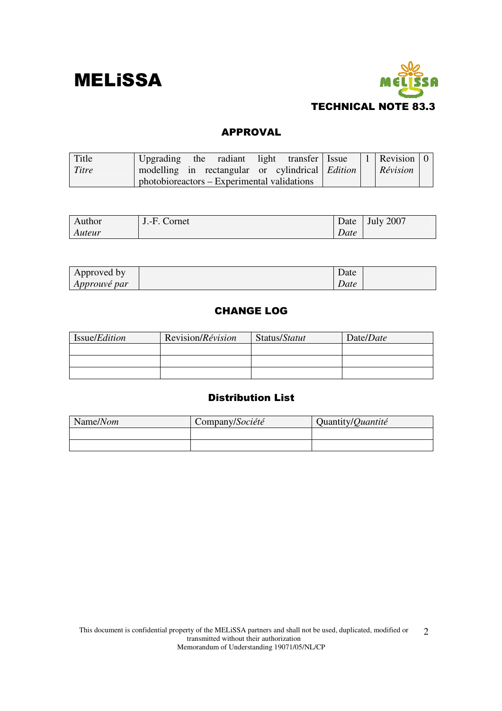



#### APPROVAL

| Title | Upgrading                                              |  | the radiant light transfer Issue |  | 1   Revision   0 |  |
|-------|--------------------------------------------------------|--|----------------------------------|--|------------------|--|
| Titre | modelling in rectangular or cylindrical <i>Edition</i> |  |                                  |  | Révision         |  |
|       | photobioreactors – Experimental validations            |  |                                  |  |                  |  |

| Author | J.-F. Cornet | Date | <b>July 2007</b> |
|--------|--------------|------|------------------|
| Auteur |              | Date |                  |

| Approved by         | Date |  |
|---------------------|------|--|
| <i>Approuvé par</i> | Date |  |

#### CHANGE LOG

| Issue/ <i>Edition</i> | Revision/Révision | Status/Statut | Date/Date |
|-----------------------|-------------------|---------------|-----------|
|                       |                   |               |           |
|                       |                   |               |           |
|                       |                   |               |           |

#### Distribution List

| Name/Nom | Company/Société | Quantity/Quantité |
|----------|-----------------|-------------------|
|          |                 |                   |
|          |                 |                   |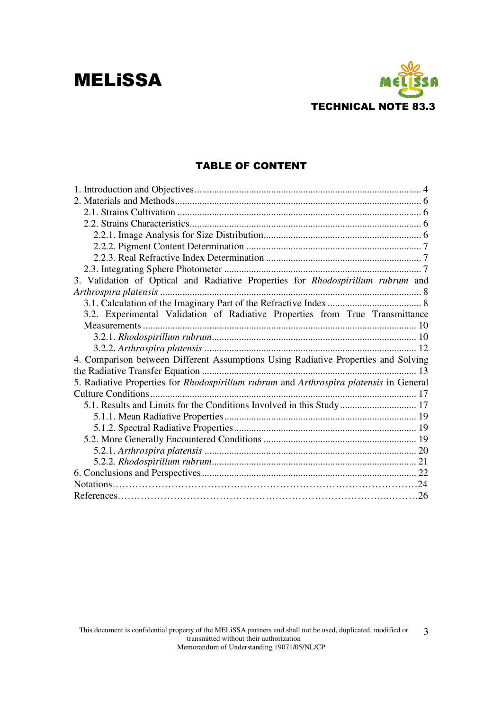

#### TABLE OF CONTENT

| 3. Validation of Optical and Radiative Properties for Rhodospirillum rubrum and        |
|----------------------------------------------------------------------------------------|
|                                                                                        |
|                                                                                        |
| 3.2. Experimental Validation of Radiative Properties from True Transmittance           |
|                                                                                        |
|                                                                                        |
|                                                                                        |
| 4. Comparison between Different Assumptions Using Radiative Properties and Solving     |
|                                                                                        |
| 5. Radiative Properties for Rhodospirillum rubrum and Arthrospira platensis in General |
|                                                                                        |
| 5.1. Results and Limits for the Conditions Involved in this Study 17                   |
|                                                                                        |
|                                                                                        |
|                                                                                        |
|                                                                                        |
|                                                                                        |
|                                                                                        |
|                                                                                        |
|                                                                                        |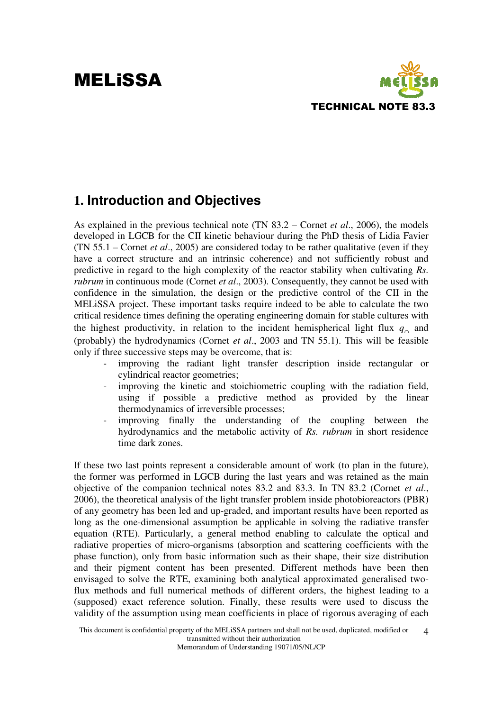

### **1. Introduction and Objectives**

As explained in the previous technical note (TN 83.2 – Cornet *et al*., 2006), the models developed in LGCB for the CII kinetic behaviour during the PhD thesis of Lidia Favier (TN 55.1 – Cornet *et al*., 2005) are considered today to be rather qualitative (even if they have a correct structure and an intrinsic coherence) and not sufficiently robust and predictive in regard to the high complexity of the reactor stability when cultivating *Rs. rubrum* in continuous mode (Cornet *et al*., 2003). Consequently, they cannot be used with confidence in the simulation, the design or the predictive control of the CII in the MELiSSA project. These important tasks require indeed to be able to calculate the two critical residence times defining the operating engineering domain for stable cultures with the highest productivity, in relation to the incident hemispherical light flux  $q_0$  and (probably) the hydrodynamics (Cornet *et al*., 2003 and TN 55.1). This will be feasible only if three successive steps may be overcome, that is:

- improving the radiant light transfer description inside rectangular or cylindrical reactor geometries;
- improving the kinetic and stoichiometric coupling with the radiation field, using if possible a predictive method as provided by the linear thermodynamics of irreversible processes;
- improving finally the understanding of the coupling between the hydrodynamics and the metabolic activity of *Rs. rubrum* in short residence time dark zones.

If these two last points represent a considerable amount of work (to plan in the future), the former was performed in LGCB during the last years and was retained as the main objective of the companion technical notes 83.2 and 83.3. In TN 83.2 (Cornet *et al*., 2006), the theoretical analysis of the light transfer problem inside photobioreactors (PBR) of any geometry has been led and up-graded, and important results have been reported as long as the one-dimensional assumption be applicable in solving the radiative transfer equation (RTE). Particularly, a general method enabling to calculate the optical and radiative properties of micro-organisms (absorption and scattering coefficients with the phase function), only from basic information such as their shape, their size distribution and their pigment content has been presented. Different methods have been then envisaged to solve the RTE, examining both analytical approximated generalised twoflux methods and full numerical methods of different orders, the highest leading to a (supposed) exact reference solution. Finally, these results were used to discuss the validity of the assumption using mean coefficients in place of rigorous averaging of each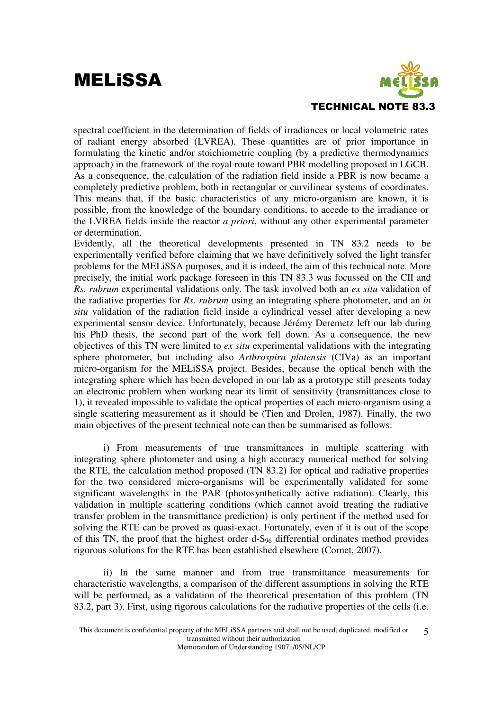

spectral coefficient in the determination of fields of irradiances or local volumetric rates of radiant energy absorbed (LVREA). These quantities are of prior importance in formulating the kinetic and/or stoichiometric coupling (by a predictive thermodynamics approach) in the framework of the royal route toward PBR modelling proposed in LGCB. As a consequence, the calculation of the radiation field inside a PBR is now became a completely predictive problem, both in rectangular or curvilinear systems of coordinates. This means that, if the basic characteristics of any micro-organism are known, it is possible, from the knowledge of the boundary conditions, to accede to the irradiance or the LVREA fields inside the reactor *a priori*, without any other experimental parameter or determination.

Evidently, all the theoretical developments presented in TN 83.2 needs to be experimentally verified before claiming that we have definitively solved the light transfer problems for the MELiSSA purposes, and it is indeed, the aim of this technical note. More precisely, the initial work package foreseen in this TN 83.3 was focussed on the CII and *Rs. rubrum* experimental validations only. The task involved both an *ex situ* validation of the radiative properties for *Rs. rubrum* using an integrating sphere photometer, and an *in situ* validation of the radiation field inside a cylindrical vessel after developing a new experimental sensor device. Unfortunately, because Jérémy Deremetz left our lab during his PhD thesis, the second part of the work fell down. As a consequence, the new objectives of this TN were limited to *ex situ* experimental validations with the integrating sphere photometer, but including also *Arthrospira platensis* (CIVa) as an important micro-organism for the MELiSSA project. Besides, because the optical bench with the integrating sphere which has been developed in our lab as a prototype still presents today an electronic problem when working near its limit of sensitivity (transmittances close to 1), it revealed impossible to validate the optical properties of each micro-organism using a single scattering measurement as it should be (Tien and Drolen, 1987). Finally, the two main objectives of the present technical note can then be summarised as follows:

 i) From measurements of true transmittances in multiple scattering with integrating sphere photometer and using a high accuracy numerical method for solving the RTE, the calculation method proposed (TN 83.2) for optical and radiative properties for the two considered micro-organisms will be experimentally validated for some significant wavelengths in the PAR (photosynthetically active radiation). Clearly, this validation in multiple scattering conditions (which cannot avoid treating the radiative transfer problem in the transmittance prediction) is only pertinent if the method used for solving the RTE can be proved as quasi-exact. Fortunately, even if it is out of the scope of this TN, the proof that the highest order d-S96 differential ordinates method provides rigorous solutions for the RTE has been established elsewhere (Cornet, 2007).

 ii) In the same manner and from true transmittance measurements for characteristic wavelengths, a comparison of the different assumptions in solving the RTE will be performed, as a validation of the theoretical presentation of this problem (TN 83.2, part 3). First, using rigorous calculations for the radiative properties of the cells (i.e.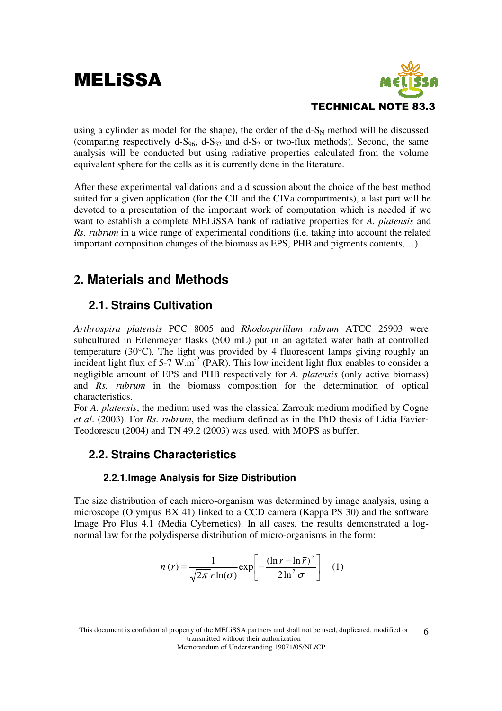

using a cylinder as model for the shape), the order of the  $d-S_N$  method will be discussed (comparing respectively d-S<sub>96</sub>, d-S<sub>32</sub> and d-S<sub>2</sub> or two-flux methods). Second, the same analysis will be conducted but using radiative properties calculated from the volume equivalent sphere for the cells as it is currently done in the literature.

After these experimental validations and a discussion about the choice of the best method suited for a given application (for the CII and the CIVa compartments), a last part will be devoted to a presentation of the important work of computation which is needed if we want to establish a complete MELiSSA bank of radiative properties for *A. platensis* and *Rs. rubrum* in a wide range of experimental conditions (i.e. taking into account the related important composition changes of the biomass as EPS, PHB and pigments contents,…).

### **2. Materials and Methods**

#### **2.1. Strains Cultivation**

*Arthrospira platensis* PCC 8005 and *Rhodospirillum rubrum* ATCC 25903 were subcultured in Erlenmeyer flasks (500 mL) put in an agitated water bath at controlled temperature (30°C). The light was provided by 4 fluorescent lamps giving roughly an incident light flux of  $5\text{-}7 \text{ W.m}^2$  (PAR). This low incident light flux enables to consider a negligible amount of EPS and PHB respectively for *A. platensis* (only active biomass) and *Rs. rubrum* in the biomass composition for the determination of optical characteristics.

For *A. platensis*, the medium used was the classical Zarrouk medium modified by Cogne *et al*. (2003). For *Rs. rubrum*, the medium defined as in the PhD thesis of Lidia Favier-Teodorescu (2004) and TN 49.2 (2003) was used, with MOPS as buffer.

#### **2.2. Strains Characteristics**

#### **2.2.1.Image Analysis for Size Distribution**

The size distribution of each micro-organism was determined by image analysis, using a microscope (Olympus BX 41) linked to a CCD camera (Kappa PS 30) and the software Image Pro Plus 4.1 (Media Cybernetics). In all cases, the results demonstrated a lognormal law for the polydisperse distribution of micro-organisms in the form:

$$
n(r) = \frac{1}{\sqrt{2\pi} r \ln(\sigma)} \exp\left[-\frac{(\ln r - \ln \bar{r})^2}{2\ln^2 \sigma}\right] \quad (1)
$$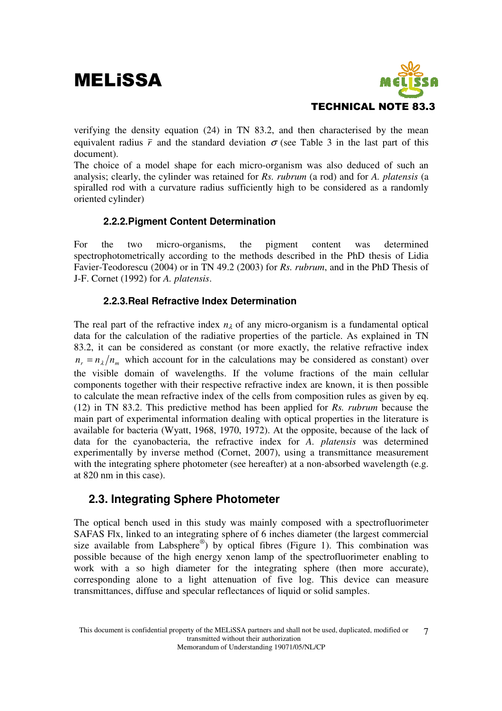

verifying the density equation (24) in TN 83.2, and then characterised by the mean equivalent radius  $\bar{r}$  and the standard deviation  $\sigma$  (see Table 3 in the last part of this document).

The choice of a model shape for each micro-organism was also deduced of such an analysis; clearly, the cylinder was retained for *Rs. rubrum* (a rod) and for *A. platensis* (a spiralled rod with a curvature radius sufficiently high to be considered as a randomly oriented cylinder)

#### **2.2.2.Pigment Content Determination**

For the two micro-organisms, the pigment content was determined spectrophotometrically according to the methods described in the PhD thesis of Lidia Favier-Teodorescu (2004) or in TN 49.2 (2003) for *Rs. rubrum*, and in the PhD Thesis of J-F. Cornet (1992) for *A. platensis*.

#### **2.2.3.Real Refractive Index Determination**

The real part of the refractive index  $n_{\lambda}$  of any micro-organism is a fundamental optical data for the calculation of the radiative properties of the particle. As explained in TN 83.2, it can be considered as constant (or more exactly, the relative refractive index  $n_r = n_\lambda / n_m$  which account for in the calculations may be considered as constant) over the visible domain of wavelengths. If the volume fractions of the main cellular components together with their respective refractive index are known, it is then possible to calculate the mean refractive index of the cells from composition rules as given by eq. (12) in TN 83.2. This predictive method has been applied for *Rs. rubrum* because the main part of experimental information dealing with optical properties in the literature is available for bacteria (Wyatt, 1968, 1970, 1972). At the opposite, because of the lack of data for the cyanobacteria, the refractive index for *A. platensis* was determined experimentally by inverse method (Cornet, 2007), using a transmittance measurement with the integrating sphere photometer (see hereafter) at a non-absorbed wavelength (e.g. at 820 nm in this case).

#### **2.3. Integrating Sphere Photometer**

The optical bench used in this study was mainly composed with a spectrofluorimeter SAFAS Flx, linked to an integrating sphere of 6 inches diameter (the largest commercial size available from Labsphere®) by optical fibres (Figure 1). This combination was possible because of the high energy xenon lamp of the spectrofluorimeter enabling to work with a so high diameter for the integrating sphere (then more accurate), corresponding alone to a light attenuation of five log. This device can measure transmittances, diffuse and specular reflectances of liquid or solid samples.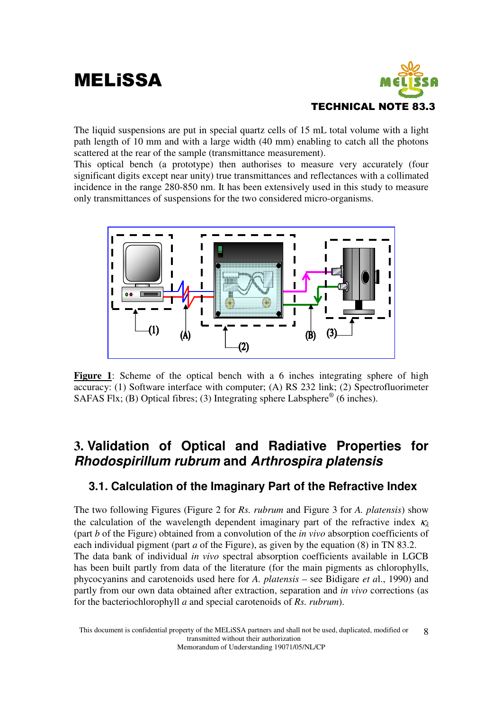

The liquid suspensions are put in special quartz cells of 15 mL total volume with a light path length of 10 mm and with a large width (40 mm) enabling to catch all the photons scattered at the rear of the sample (transmittance measurement).

This optical bench (a prototype) then authorises to measure very accurately (four significant digits except near unity) true transmittances and reflectances with a collimated incidence in the range 280-850 nm. It has been extensively used in this study to measure only transmittances of suspensions for the two considered micro-organisms.



Figure 1: Scheme of the optical bench with a 6 inches integrating sphere of high accuracy: (1) Software interface with computer; (A) RS 232 link; (2) Spectrofluorimeter SAFAS Flx; (B) Optical fibres; (3) Integrating sphere Labsphere<sup>®</sup> (6 inches).

### **3. Validation of Optical and Radiative Properties for Rhodospirillum rubrum and Arthrospira platensis**

#### **3.1. Calculation of the Imaginary Part of the Refractive Index**

The two following Figures (Figure 2 for *Rs. rubrum* and Figure 3 for *A. platensis*) show the calculation of the wavelength dependent imaginary part of the refractive index  $\kappa_{\lambda}$ (part *b* of the Figure) obtained from a convolution of the *in vivo* absorption coefficients of each individual pigment (part *a* of the Figure), as given by the equation (8) in TN 83.2. The data bank of individual *in vivo* spectral absorption coefficients available in LGCB has been built partly from data of the literature (for the main pigments as chlorophylls, phycocyanins and carotenoids used here for *A. platensis* – see Bidigare *et a*l., 1990) and partly from our own data obtained after extraction, separation and *in vivo* corrections (as for the bacteriochlorophyll *a* and special carotenoids of *Rs. rubrum*).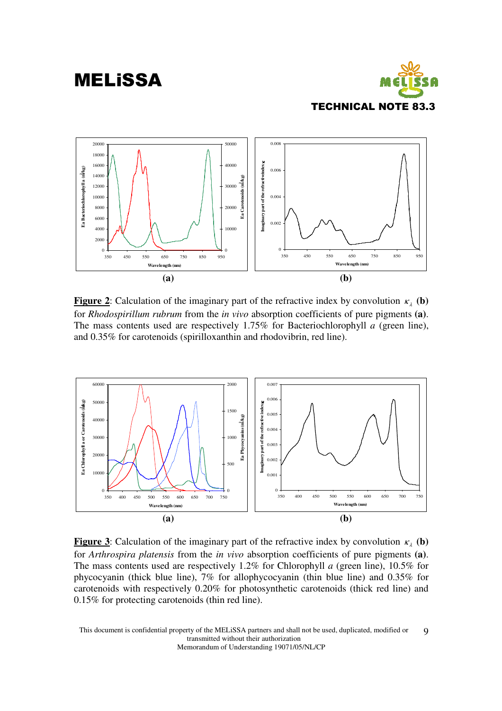



**Figure 2**: Calculation of the imaginary part of the refractive index by convolution  $\kappa_{\lambda}$  (b) for *Rhodospirillum rubrum* from the *in vivo* absorption coefficients of pure pigments **(a)**. The mass contents used are respectively 1.75% for Bacteriochlorophyll *a* (green line), and 0.35% for carotenoids (spirilloxanthin and rhodovibrin, red line).



**Figure 3**: Calculation of the imaginary part of the refractive index by convolution  $\kappa<sub>1</sub>$  (b) for *Arthrospira platensis* from the *in vivo* absorption coefficients of pure pigments **(a)**. The mass contents used are respectively 1.2% for Chlorophyll *a* (green line), 10.5% for phycocyanin (thick blue line), 7% for allophycocyanin (thin blue line) and 0.35% for carotenoids with respectively 0.20% for photosynthetic carotenoids (thick red line) and 0.15% for protecting carotenoids (thin red line).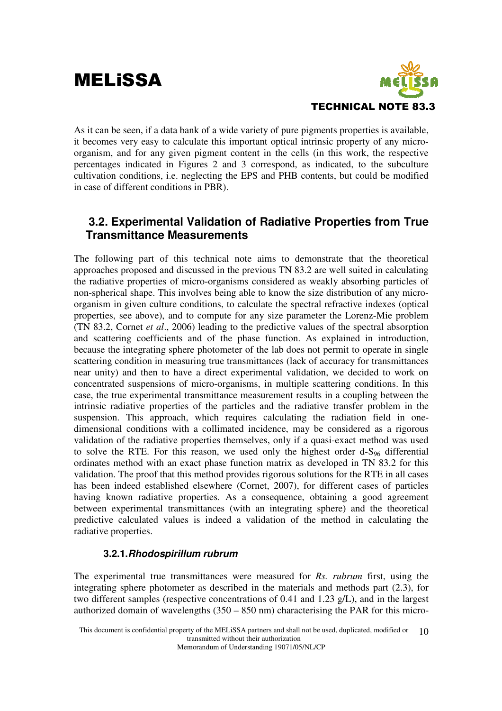

As it can be seen, if a data bank of a wide variety of pure pigments properties is available, it becomes very easy to calculate this important optical intrinsic property of any microorganism, and for any given pigment content in the cells (in this work, the respective percentages indicated in Figures 2 and 3 correspond, as indicated, to the subculture cultivation conditions, i.e. neglecting the EPS and PHB contents, but could be modified in case of different conditions in PBR).

#### **3.2. Experimental Validation of Radiative Properties from True Transmittance Measurements**

The following part of this technical note aims to demonstrate that the theoretical approaches proposed and discussed in the previous TN 83.2 are well suited in calculating the radiative properties of micro-organisms considered as weakly absorbing particles of non-spherical shape. This involves being able to know the size distribution of any microorganism in given culture conditions, to calculate the spectral refractive indexes (optical properties, see above), and to compute for any size parameter the Lorenz-Mie problem (TN 83.2, Cornet *et al*., 2006) leading to the predictive values of the spectral absorption and scattering coefficients and of the phase function. As explained in introduction, because the integrating sphere photometer of the lab does not permit to operate in single scattering condition in measuring true transmittances (lack of accuracy for transmittances near unity) and then to have a direct experimental validation, we decided to work on concentrated suspensions of micro-organisms, in multiple scattering conditions. In this case, the true experimental transmittance measurement results in a coupling between the intrinsic radiative properties of the particles and the radiative transfer problem in the suspension. This approach, which requires calculating the radiation field in onedimensional conditions with a collimated incidence, may be considered as a rigorous validation of the radiative properties themselves, only if a quasi-exact method was used to solve the RTE. For this reason, we used only the highest order  $d-S_{96}$  differential ordinates method with an exact phase function matrix as developed in TN 83.2 for this validation. The proof that this method provides rigorous solutions for the RTE in all cases has been indeed established elsewhere (Cornet, 2007), for different cases of particles having known radiative properties. As a consequence, obtaining a good agreement between experimental transmittances (with an integrating sphere) and the theoretical predictive calculated values is indeed a validation of the method in calculating the radiative properties.

#### **3.2.1.Rhodospirillum rubrum**

The experimental true transmittances were measured for *Rs. rubrum* first, using the integrating sphere photometer as described in the materials and methods part (2.3), for two different samples (respective concentrations of 0.41 and 1.23 g/L), and in the largest authorized domain of wavelengths (350 – 850 nm) characterising the PAR for this micro-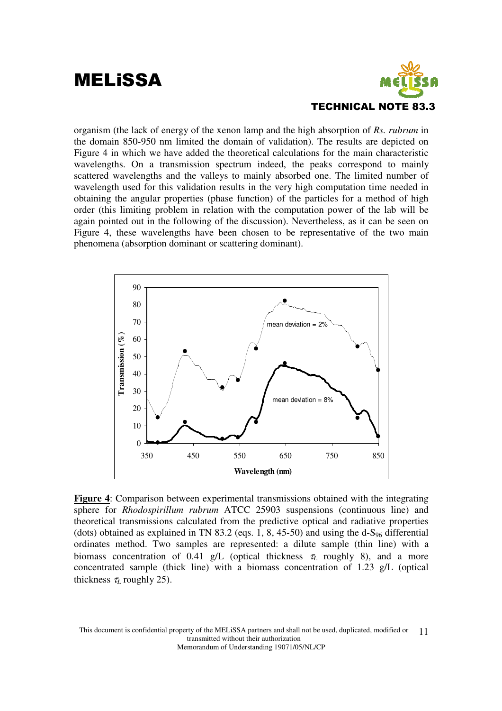

organism (the lack of energy of the xenon lamp and the high absorption of *Rs. rubrum* in the domain 850-950 nm limited the domain of validation). The results are depicted on Figure 4 in which we have added the theoretical calculations for the main characteristic wavelengths. On a transmission spectrum indeed, the peaks correspond to mainly scattered wavelengths and the valleys to mainly absorbed one. The limited number of wavelength used for this validation results in the very high computation time needed in obtaining the angular properties (phase function) of the particles for a method of high order (this limiting problem in relation with the computation power of the lab will be again pointed out in the following of the discussion). Nevertheless, as it can be seen on Figure 4, these wavelengths have been chosen to be representative of the two main phenomena (absorption dominant or scattering dominant).



**Figure 4**: Comparison between experimental transmissions obtained with the integrating sphere for *Rhodospirillum rubrum* ATCC 25903 suspensions (continuous line) and theoretical transmissions calculated from the predictive optical and radiative properties (dots) obtained as explained in TN 83.2 (eqs. 1, 8, 45-50) and using the d-S<sub>96</sub> differential ordinates method. Two samples are represented: a dilute sample (thin line) with a biomass concentration of 0.41 g/L (optical thickness  $\tau_l$  roughly 8), and a more concentrated sample (thick line) with a biomass concentration of 1.23 g/L (optical thickness  $\tau_L$  roughly 25).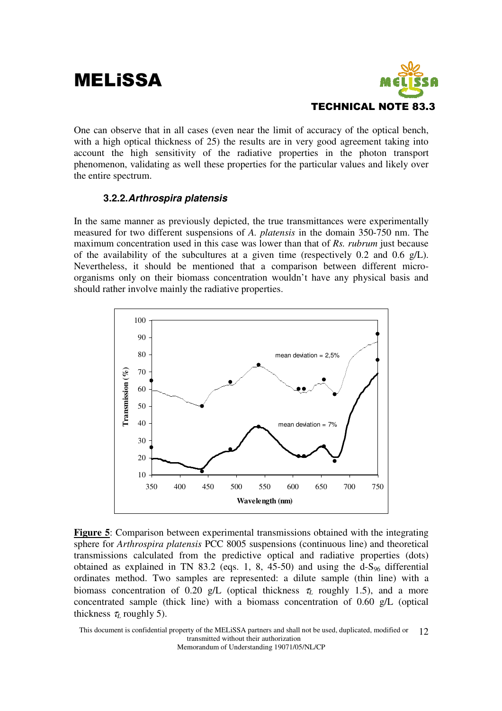## **MELISSA**



One can observe that in all cases (even near the limit of accuracy of the optical bench, with a high optical thickness of 25) the results are in very good agreement taking into account the high sensitivity of the radiative properties in the photon transport phenomenon, validating as well these properties for the particular values and likely over the entire spectrum.

#### **3.2.2.Arthrospira platensis**

In the same manner as previously depicted, the true transmittances were experimentally measured for two different suspensions of *A. platensis* in the domain 350-750 nm. The maximum concentration used in this case was lower than that of *Rs. rubrum* just because of the availability of the subcultures at a given time (respectively 0.2 and 0.6 g/L). Nevertheless, it should be mentioned that a comparison between different microorganisms only on their biomass concentration wouldn't have any physical basis and should rather involve mainly the radiative properties.



**Figure 5**: Comparison between experimental transmissions obtained with the integrating sphere for *Arthrospira platensis* PCC 8005 suspensions (continuous line) and theoretical transmissions calculated from the predictive optical and radiative properties (dots) obtained as explained in TN 83.2 (eqs. 1, 8, 45-50) and using the  $d-S_{96}$  differential ordinates method. Two samples are represented: a dilute sample (thin line) with a biomass concentration of 0.20 g/L (optical thickness  $\tau_L$  roughly 1.5), and a more concentrated sample (thick line) with a biomass concentration of 0.60 g/L (optical thickness  $\tau_L$  roughly 5).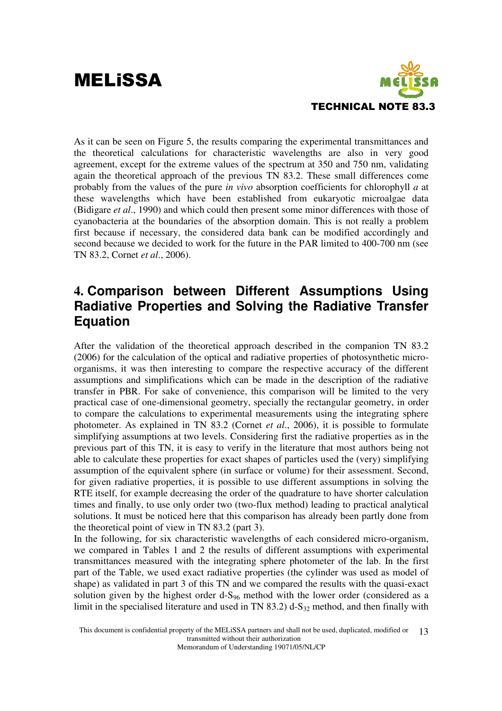

As it can be seen on Figure 5, the results comparing the experimental transmittances and the theoretical calculations for characteristic wavelengths are also in very good agreement, except for the extreme values of the spectrum at 350 and 750 nm, validating again the theoretical approach of the previous TN 83.2. These small differences come probably from the values of the pure *in vivo* absorption coefficients for chlorophyll *a* at these wavelengths which have been established from eukaryotic microalgae data (Bidigare *et al*., 1990) and which could then present some minor differences with those of cyanobacteria at the boundaries of the absorption domain. This is not really a problem first because if necessary, the considered data bank can be modified accordingly and second because we decided to work for the future in the PAR limited to 400-700 nm (see TN 83.2, Cornet *et al*., 2006).

### **4. Comparison between Different Assumptions Using Radiative Properties and Solving the Radiative Transfer Equation**

After the validation of the theoretical approach described in the companion TN 83.2 (2006) for the calculation of the optical and radiative properties of photosynthetic microorganisms, it was then interesting to compare the respective accuracy of the different assumptions and simplifications which can be made in the description of the radiative transfer in PBR. For sake of convenience, this comparison will be limited to the very practical case of one-dimensional geometry, specially the rectangular geometry, in order to compare the calculations to experimental measurements using the integrating sphere photometer. As explained in TN 83.2 (Cornet *et al*., 2006), it is possible to formulate simplifying assumptions at two levels. Considering first the radiative properties as in the previous part of this TN, it is easy to verify in the literature that most authors being not able to calculate these properties for exact shapes of particles used the (very) simplifying assumption of the equivalent sphere (in surface or volume) for their assessment. Second, for given radiative properties, it is possible to use different assumptions in solving the RTE itself, for example decreasing the order of the quadrature to have shorter calculation times and finally, to use only order two (two-flux method) leading to practical analytical solutions. It must be noticed here that this comparison has already been partly done from the theoretical point of view in TN 83.2 (part 3).

In the following, for six characteristic wavelengths of each considered micro-organism, we compared in Tables 1 and 2 the results of different assumptions with experimental transmittances measured with the integrating sphere photometer of the lab. In the first part of the Table, we used exact radiative properties (the cylinder was used as model of shape) as validated in part 3 of this TN and we compared the results with the quasi-exact solution given by the highest order  $d-S_{96}$  method with the lower order (considered as a limit in the specialised literature and used in TN 83.2) d-S<sub>32</sub> method, and then finally with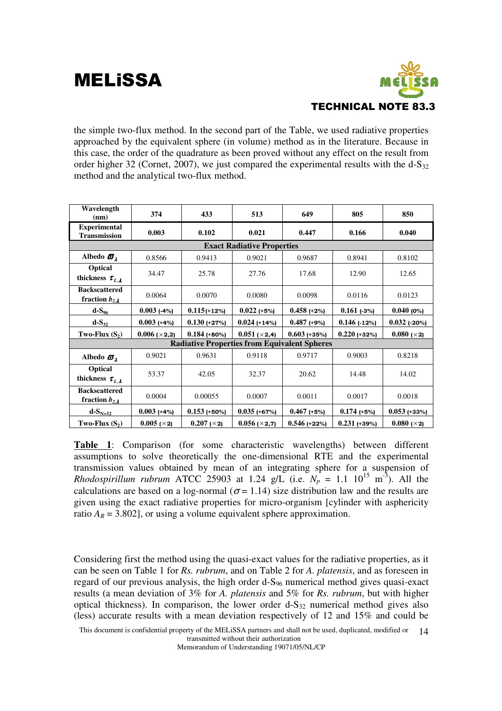

the simple two-flux method. In the second part of the Table, we used radiative properties approached by the equivalent sphere (in volume) method as in the literature. Because in this case, the order of the quadrature as been proved without any effect on the result from order higher 32 (Cornet, 2007), we just compared the experimental results with the  $d-S_{32}$ method and the analytical two-flux method.

| Wavelength<br>(nm)                               | 374           | 433                                                 | 513                               | 649            | 805            | 850            |
|--------------------------------------------------|---------------|-----------------------------------------------------|-----------------------------------|----------------|----------------|----------------|
| <b>Experimental</b><br><b>Transmission</b>       | 0.003         | 0.102                                               | 0.021                             | 0.447          | 0.166          | 0.040          |
|                                                  |               |                                                     | <b>Exact Radiative Properties</b> |                |                |                |
| Albedo $\sigma_{\lambda}$                        | 0.8566        | 0.9413                                              | 0.9021                            | 0.9687         | 0.8941         | 0.8102         |
| Optical<br>thickness $\tau_{L,\lambda}$          | 34.47         | 25.78                                               | 27.76                             | 17.68          | 12.90          | 12.65          |
| <b>Backscattered</b><br>fraction $b_{2,\lambda}$ | 0.0064        | 0.0070                                              | 0.0080                            | 0.0098         | 0.0116         | 0.0123         |
| $d-S_{96}$                                       | $0.003$ (-4%) | $0.115 (+12%)$                                      | $0.022$ (+5%)                     | $0.458$ (+2%)  | $0.161$ (-3%)  | $0.040$ (0%)   |
| $d-S_{32}$                                       | $0.003$ (+4%) | $0.130 + 27\%$                                      | $0.024$ (+14%)                    | $0.487$ (+9%)  | $0.146$ (-12%) | $0.032$ (-20%) |
| Two-Flux $(S_2)$                                 | 0.006~(×2,2)  | $0.184$ (+80%)                                      | $0.051$ ( $\times$ 2,4)           | $0.603$ (+35%) | $0.220$ (+32%) | 0.080~(×2)     |
|                                                  |               | <b>Radiative Properties from Equivalent Spheres</b> |                                   |                |                |                |
| Albedo $\sigma_{\lambda}$                        | 0.9021        | 0.9631                                              | 0.9118                            | 0.9717         | 0.9003         | 0.8218         |
| Optical<br>thickness $\tau_{L,\lambda}$          | 53.37         | 42.05                                               | 32.37                             | 20.62          | 14.48          | 14.02          |
| <b>Backscattered</b><br>fraction $b_{2,\lambda}$ | 0.0004        | 0.00055                                             | 0.0007                            | 0.0011         | 0.0017         | 0.0018         |
| $d-SN>32$                                        | $0.003$ (+4%) | $0.153$ (+50%)                                      | $0.035$ (+67%)                    | $0.467$ (+5%)  | $0.174$ (+5%)  | $0.053$ (+33%) |
| Two-Flux $(S_2)$                                 | $0.005$ (×2)  | $0.207 (\times 2)$                                  | $0.056$ ( $\times$ 2,7)           | $0.546$ (+22%) | $0.231$ (+39%) | 0.080~(×2)     |

**Table 1**: Comparison (for some characteristic wavelengths) between different assumptions to solve theoretically the one-dimensional RTE and the experimental transmission values obtained by mean of an integrating sphere for a suspension of *Rhodospirillum rubrum* ATCC 25903 at 1.24 g/L (i.e.  $N_p = 1.1 \, 10^{15} \, \text{m}^3$ ). All the calculations are based on a log-normal ( $\sigma$  = 1.14) size distribution law and the results are given using the exact radiative properties for micro-organism [cylinder with asphericity ratio  $A_R = 3.802$ , or using a volume equivalent sphere approximation.

Considering first the method using the quasi-exact values for the radiative properties, as it can be seen on Table 1 for *Rs. rubrum*, and on Table 2 for *A. platensis*, and as foreseen in regard of our previous analysis, the high order d-S96 numerical method gives quasi-exact results (a mean deviation of 3% for *A. platensis* and 5% for *Rs. rubrum*, but with higher optical thickness). In comparison, the lower order  $d-S_{32}$  numerical method gives also (less) accurate results with a mean deviation respectively of 12 and 15% and could be

This document is confidential property of the MELiSSA partners and shall not be used, duplicated, modified or transmitted without their authorization 14

Memorandum of Understanding 19071/05/NL/CP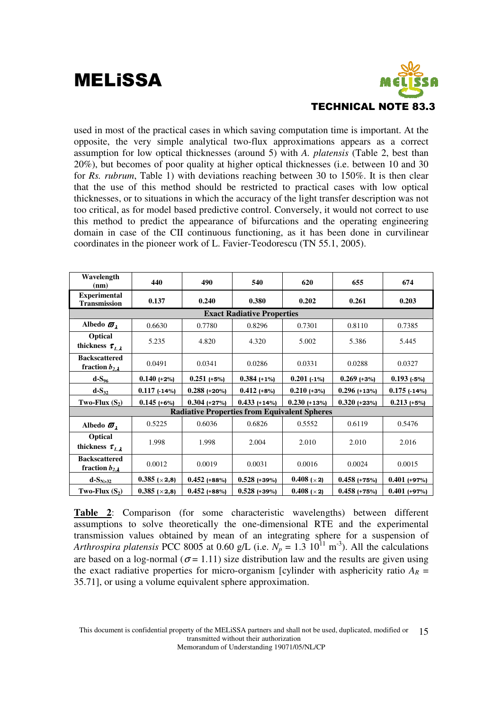

used in most of the practical cases in which saving computation time is important. At the opposite, the very simple analytical two-flux approximations appears as a correct assumption for low optical thicknesses (around 5) with *A. platensis* (Table 2, best than 20%), but becomes of poor quality at higher optical thicknesses (i.e. between 10 and 30 for *Rs. rubrum*, Table 1) with deviations reaching between 30 to 150%. It is then clear that the use of this method should be restricted to practical cases with low optical thicknesses, or to situations in which the accuracy of the light transfer description was not too critical, as for model based predictive control. Conversely, it would not correct to use this method to predict the appearance of bifurcations and the operating engineering domain in case of the CII continuous functioning, as it has been done in curvilinear coordinates in the pioneer work of L. Favier-Teodorescu (TN 55.1, 2005).

| Wavelength<br>(nm)                               | 440                     | 490                                                 | 540                               | 620                   | 655            | 674            |
|--------------------------------------------------|-------------------------|-----------------------------------------------------|-----------------------------------|-----------------------|----------------|----------------|
| <b>Experimental</b><br><b>Transmission</b>       | 0.137                   | 0.240                                               | 0.380                             | 0.202                 | 0.261          | 0.203          |
|                                                  |                         |                                                     | <b>Exact Radiative Properties</b> |                       |                |                |
| Albedo $\sigma_{\lambda}$                        | 0.6630                  | 0.7780                                              | 0.8296                            | 0.7301                | 0.8110         | 0.7385         |
| <b>Optical</b><br>thickness $\tau_{L,\lambda}$   | 5.235                   | 4.820                                               | 4.320                             | 5.002                 | 5.386          | 5.445          |
| <b>Backscattered</b><br>fraction $b_{2,\lambda}$ | 0.0491                  | 0.0341                                              | 0.0286                            | 0.0331                | 0.0288         | 0.0327         |
| $d-S_{96}$                                       | $0.140 (+2%)$           | $0.251$ (+5%)                                       | $0.384$ (+1%)                     | $0.201$ (-1%)         | $0.269$ (+3%)  | $0.193$ (-5%)  |
| $d-S_{32}$                                       | $0.117$ (-14%)          | $0.288$ (+20%)                                      | $0.412$ (+8%)                     | $0.210 (+3%)$         | $0.296 (+13%)$ | $0.175$ (-14%) |
| Two-Flux $(S_2)$                                 | $0.145$ (+6%)           | $0.304$ (+27%)                                      | $0.433$ (+14%)                    | $0.230 + 13\%$        | $0.320$ (+23%) | $0.213 (+5%)$  |
|                                                  |                         | <b>Radiative Properties from Equivalent Spheres</b> |                                   |                       |                |                |
| Albedo $\varpi_{\lambda}$                        | 0.5225                  | 0.6036                                              | 0.6826                            | 0.5552                | 0.6119         | 0.5476         |
| Optical<br>thickness $\tau_{L,\lambda}$          | 1.998                   | 1.998                                               | 2.004                             | 2.010                 | 2.010          | 2.016          |
| <b>Backscattered</b><br>fraction $b_{2,\lambda}$ | 0.0012                  | 0.0019                                              | 0.0031                            | 0.0016                | 0.0024         | 0.0015         |
| $d-SN>32$                                        | $0.385$ ( $\times$ 2,8) | $0.452$ (+88%)                                      | $0.528 + 39\%$                    | $0.408 (\times 2)$    | $0.458$ (+75%) | $0.401$ (+97%) |
| Two-Flux $(S_2)$                                 | $0.385 \; (×2,8)$       | $0.452$ (+88%)                                      | $0.528$ (+39%)                    | $0.408$ ( $\times$ 2) | $0.458$ (+75%) | $0.401$ (+97%) |

**Table 2**: Comparison (for some characteristic wavelengths) between different assumptions to solve theoretically the one-dimensional RTE and the experimental transmission values obtained by mean of an integrating sphere for a suspension of *Arthrospira platensis* PCC 8005 at 0.60 g/L (i.e.  $N_p = 1.3 \times 10^{11} \text{ m}^{-3}$ ). All the calculations are based on a log-normal ( $\sigma$  = 1.11) size distribution law and the results are given using the exact radiative properties for micro-organism [cylinder with asphericity ratio  $A_R$  = 35.71], or using a volume equivalent sphere approximation.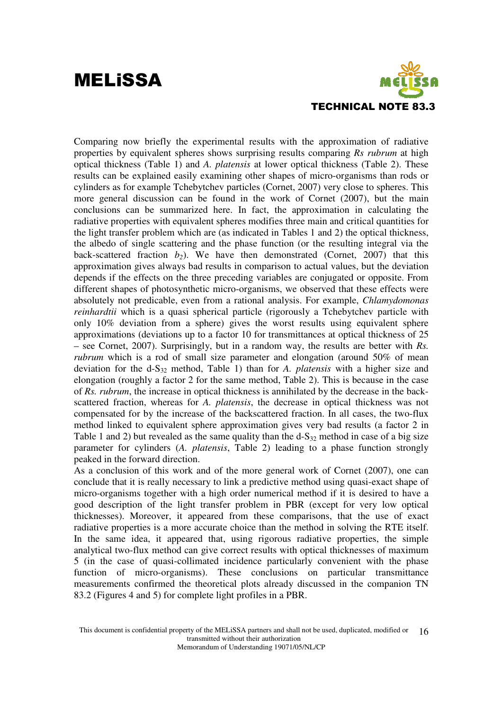

Comparing now briefly the experimental results with the approximation of radiative properties by equivalent spheres shows surprising results comparing *Rs rubrum* at high optical thickness (Table 1) and *A. platensis* at lower optical thickness (Table 2). These results can be explained easily examining other shapes of micro-organisms than rods or cylinders as for example Tchebytchev particles (Cornet, 2007) very close to spheres. This more general discussion can be found in the work of Cornet (2007), but the main conclusions can be summarized here. In fact, the approximation in calculating the radiative properties with equivalent spheres modifies three main and critical quantities for the light transfer problem which are (as indicated in Tables 1 and 2) the optical thickness, the albedo of single scattering and the phase function (or the resulting integral via the back-scattered fraction  $b_2$ ). We have then demonstrated (Cornet, 2007) that this approximation gives always bad results in comparison to actual values, but the deviation depends if the effects on the three preceding variables are conjugated or opposite. From different shapes of photosynthetic micro-organisms, we observed that these effects were absolutely not predicable, even from a rational analysis. For example, *Chlamydomonas reinhardtii* which is a quasi spherical particle (rigorously a Tchebytchev particle with only 10% deviation from a sphere) gives the worst results using equivalent sphere approximations (deviations up to a factor 10 for transmittances at optical thickness of 25 – see Cornet, 2007). Surprisingly, but in a random way, the results are better with *Rs. rubrum* which is a rod of small size parameter and elongation (around 50% of mean deviation for the d-S32 method, Table 1) than for *A. platensis* with a higher size and elongation (roughly a factor 2 for the same method, Table 2). This is because in the case of *Rs. rubrum*, the increase in optical thickness is annihilated by the decrease in the backscattered fraction, whereas for *A. platensis*, the decrease in optical thickness was not compensated for by the increase of the backscattered fraction. In all cases, the two-flux method linked to equivalent sphere approximation gives very bad results (a factor 2 in Table 1 and 2) but revealed as the same quality than the  $d-S_{32}$  method in case of a big size parameter for cylinders (*A. platensis*, Table 2) leading to a phase function strongly peaked in the forward direction.

As a conclusion of this work and of the more general work of Cornet (2007), one can conclude that it is really necessary to link a predictive method using quasi-exact shape of micro-organisms together with a high order numerical method if it is desired to have a good description of the light transfer problem in PBR (except for very low optical thicknesses). Moreover, it appeared from these comparisons, that the use of exact radiative properties is a more accurate choice than the method in solving the RTE itself. In the same idea, it appeared that, using rigorous radiative properties, the simple analytical two-flux method can give correct results with optical thicknesses of maximum 5 (in the case of quasi-collimated incidence particularly convenient with the phase function of micro-organisms). These conclusions on particular transmittance measurements confirmed the theoretical plots already discussed in the companion TN 83.2 (Figures 4 and 5) for complete light profiles in a PBR.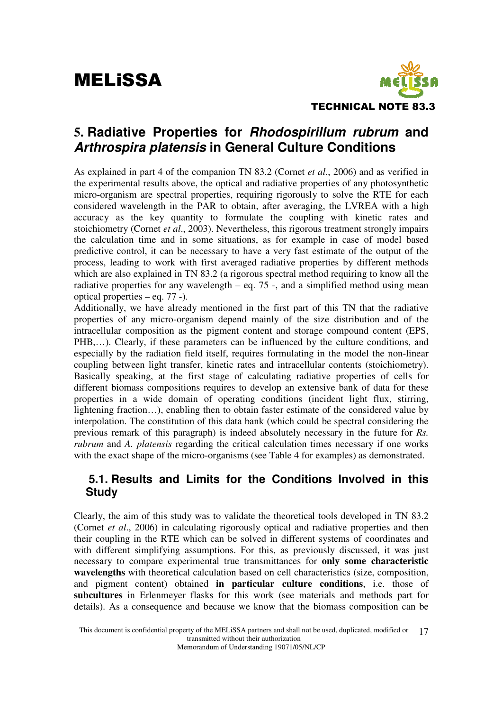

### **5. Radiative Properties for Rhodospirillum rubrum and Arthrospira platensis in General Culture Conditions**

As explained in part 4 of the companion TN 83.2 (Cornet *et al*., 2006) and as verified in the experimental results above, the optical and radiative properties of any photosynthetic micro-organism are spectral properties, requiring rigorously to solve the RTE for each considered wavelength in the PAR to obtain, after averaging, the LVREA with a high accuracy as the key quantity to formulate the coupling with kinetic rates and stoichiometry (Cornet *et al*., 2003). Nevertheless, this rigorous treatment strongly impairs the calculation time and in some situations, as for example in case of model based predictive control, it can be necessary to have a very fast estimate of the output of the process, leading to work with first averaged radiative properties by different methods which are also explained in TN 83.2 (a rigorous spectral method requiring to know all the radiative properties for any wavelength  $-$  eq. 75 -, and a simplified method using mean optical properties – eq. 77 -).

Additionally, we have already mentioned in the first part of this TN that the radiative properties of any micro-organism depend mainly of the size distribution and of the intracellular composition as the pigment content and storage compound content (EPS, PHB,…). Clearly, if these parameters can be influenced by the culture conditions, and especially by the radiation field itself, requires formulating in the model the non-linear coupling between light transfer, kinetic rates and intracellular contents (stoichiometry). Basically speaking, at the first stage of calculating radiative properties of cells for different biomass compositions requires to develop an extensive bank of data for these properties in a wide domain of operating conditions (incident light flux, stirring, lightening fraction…), enabling then to obtain faster estimate of the considered value by interpolation. The constitution of this data bank (which could be spectral considering the previous remark of this paragraph) is indeed absolutely necessary in the future for *Rs. rubrum* and *A. platensis* regarding the critical calculation times necessary if one works with the exact shape of the micro-organisms (see Table 4 for examples) as demonstrated.

#### **5.1. Results and Limits for the Conditions Involved in this Study**

Clearly, the aim of this study was to validate the theoretical tools developed in TN 83.2 (Cornet *et al*., 2006) in calculating rigorously optical and radiative properties and then their coupling in the RTE which can be solved in different systems of coordinates and with different simplifying assumptions. For this, as previously discussed, it was just necessary to compare experimental true transmittances for **only some characteristic wavelengths** with theoretical calculation based on cell characteristics (size, composition, and pigment content) obtained **in particular culture conditions**, i.e. those of **subcultures** in Erlenmeyer flasks for this work (see materials and methods part for details). As a consequence and because we know that the biomass composition can be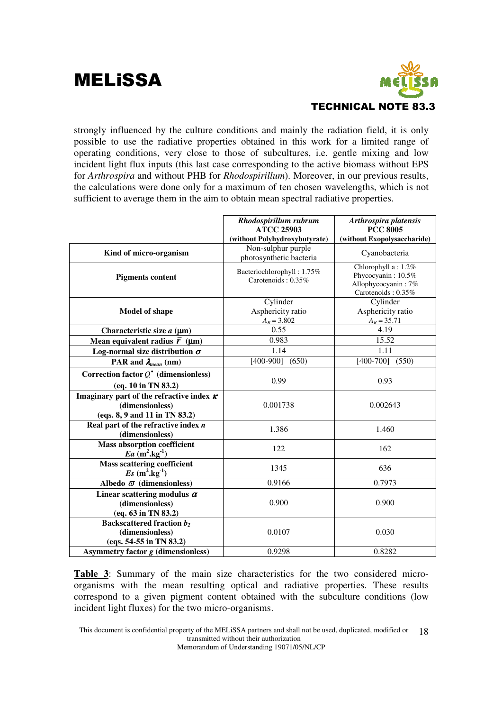

strongly influenced by the culture conditions and mainly the radiation field, it is only possible to use the radiative properties obtained in this work for a limited range of operating conditions, very close to those of subcultures, i.e. gentle mixing and low incident light flux inputs (this last case corresponding to the active biomass without EPS for *Arthrospira* and without PHB for *Rhodospirillum*). Moreover, in our previous results, the calculations were done only for a maximum of ten chosen wavelengths, which is not sufficient to average them in the aim to obtain mean spectral radiative properties.

|                                                                                                     | Rhodospirillum rubrum<br><b>ATCC 25903</b><br>(without Polyhydroxybutyrate) | Arthrospira platensis<br><b>PCC 8005</b><br>(without Exopolysaccharide)                |
|-----------------------------------------------------------------------------------------------------|-----------------------------------------------------------------------------|----------------------------------------------------------------------------------------|
| Kind of micro-organism                                                                              | Non-sulphur purple<br>photosynthetic bacteria                               | Cyanobacteria                                                                          |
| <b>Pigments content</b>                                                                             | Bacteriochlorophyll: 1.75%<br>Carotenoids: $0.35\%$                         | Chlorophyll a: 1.2%<br>Phycocyanin: 10.5%<br>Allophycocyanin: 7%<br>Carotenoids: 0.35% |
| <b>Model of shape</b>                                                                               | Cylinder<br>Asphericity ratio<br>$A_R = 3.802$                              | Cylinder<br>Asphericity ratio<br>$A_R = 35.71$                                         |
| Characteristic size $a \, (\mu m)$                                                                  | 0.55                                                                        | 4.19                                                                                   |
| Mean equivalent radius $\vec{r}$ (µm)                                                               | 0.983                                                                       | 15.52                                                                                  |
| Log-normal size distribution $\sigma$                                                               | 1.14                                                                        | 1.11                                                                                   |
| PAR and $\lambda_{mean}$ (nm)                                                                       | $[400-900]$ $(650)$                                                         | $[400-700]$<br>(550)                                                                   |
| Correction factor $Q^*$ (dimensionless)<br>(eq. 10 in TN 83.2)                                      | 0.99                                                                        | 0.93                                                                                   |
| Imaginary part of the refractive index $\kappa$<br>(dimensionless)<br>(eqs. 8, 9 and 11 in TN 83.2) | 0.001738                                                                    | 0.002643                                                                               |
| Real part of the refractive index $n$<br>(dimensionless)                                            | 1.386                                                                       | 1.460                                                                                  |
| <b>Mass absorption coefficient</b><br>Ea $(m^2 \text{kg}^{-1})$                                     | 122                                                                         | 162                                                                                    |
| <b>Mass scattering coefficient</b><br>$Es (m^2.kg^{-1})$                                            | 1345                                                                        | 636                                                                                    |
| Albedo $\varpi$ (dimensionless)                                                                     | 0.9166                                                                      | 0.7973                                                                                 |
| Linear scattering modulus $\alpha$<br>(dimensionless)<br>(eq. 63 in TN 83.2)                        | 0.900                                                                       | 0.900                                                                                  |
| <b>Backscattered fraction b2</b><br>(dimensionless)<br>(eqs. 54-55 in TN 83.2)                      | 0.0107                                                                      | 0.030                                                                                  |
| Asymmetry factor g (dimensionless)                                                                  | 0.9298                                                                      | 0.8282                                                                                 |

**Table 3**: Summary of the main size characteristics for the two considered microorganisms with the mean resulting optical and radiative properties. These results correspond to a given pigment content obtained with the subculture conditions (low incident light fluxes) for the two micro-organisms.

This document is confidential property of the MELiSSA partners and shall not be used, duplicated, modified or transmitted without their authorization 18

Memorandum of Understanding 19071/05/NL/CP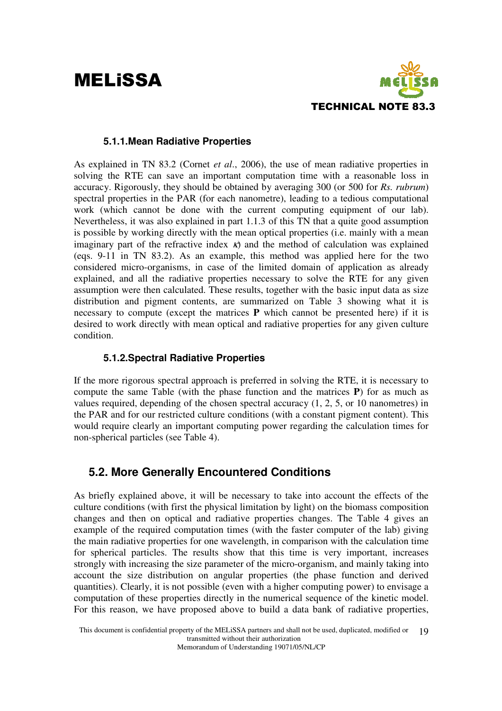## **MELISSA**



#### **5.1.1.Mean Radiative Properties**

As explained in TN 83.2 (Cornet *et al*., 2006), the use of mean radiative properties in solving the RTE can save an important computation time with a reasonable loss in accuracy. Rigorously, they should be obtained by averaging 300 (or 500 for *Rs. rubrum*) spectral properties in the PAR (for each nanometre), leading to a tedious computational work (which cannot be done with the current computing equipment of our lab). Nevertheless, it was also explained in part 1.1.3 of this TN that a quite good assumption is possible by working directly with the mean optical properties (i.e. mainly with a mean imaginary part of the refractive index  $\kappa$ ) and the method of calculation was explained (eqs. 9-11 in TN 83.2). As an example, this method was applied here for the two considered micro-organisms, in case of the limited domain of application as already explained, and all the radiative properties necessary to solve the RTE for any given assumption were then calculated. These results, together with the basic input data as size distribution and pigment contents, are summarized on Table 3 showing what it is necessary to compute (except the matrices **P** which cannot be presented here) if it is desired to work directly with mean optical and radiative properties for any given culture condition.

#### **5.1.2.Spectral Radiative Properties**

If the more rigorous spectral approach is preferred in solving the RTE, it is necessary to compute the same Table (with the phase function and the matrices **P**) for as much as values required, depending of the chosen spectral accuracy (1, 2, 5, or 10 nanometres) in the PAR and for our restricted culture conditions (with a constant pigment content). This would require clearly an important computing power regarding the calculation times for non-spherical particles (see Table 4).

#### **5.2. More Generally Encountered Conditions**

As briefly explained above, it will be necessary to take into account the effects of the culture conditions (with first the physical limitation by light) on the biomass composition changes and then on optical and radiative properties changes. The Table 4 gives an example of the required computation times (with the faster computer of the lab) giving the main radiative properties for one wavelength, in comparison with the calculation time for spherical particles. The results show that this time is very important, increases strongly with increasing the size parameter of the micro-organism, and mainly taking into account the size distribution on angular properties (the phase function and derived quantities). Clearly, it is not possible (even with a higher computing power) to envisage a computation of these properties directly in the numerical sequence of the kinetic model. For this reason, we have proposed above to build a data bank of radiative properties,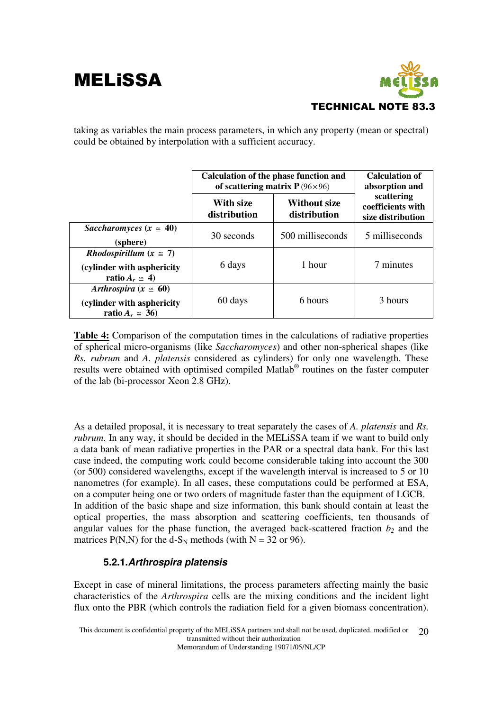

taking as variables the main process parameters, in which any property (mean or spectral) could be obtained by interpolation with a sufficient accuracy.

|                                                                                                  | <b>Calculation of the phase function and</b><br>of scattering matrix $P(96\times96)$ | <b>Calculation of</b><br>absorption and |                                                      |
|--------------------------------------------------------------------------------------------------|--------------------------------------------------------------------------------------|-----------------------------------------|------------------------------------------------------|
|                                                                                                  | With size<br>distribution                                                            | Without size<br>distribution            | scattering<br>coefficients with<br>size distribution |
| Saccharomyces $(x \approx 40)$<br>(sphere)                                                       | 30 seconds                                                                           | 500 milliseconds                        | 5 milliseconds                                       |
| <i>Rhodospirillum</i> ( $x \approx 7$ )<br>(cylinder with asphericity<br>ratio $A_r \approx 4$ ) | 6 days                                                                               | 1 hour                                  | 7 minutes                                            |
| Arthrospira $(x \ge 60)$<br>(cylinder with asphericity<br>ratio $A_r \approx 36$                 | 60 days                                                                              | 6 hours                                 | 3 hours                                              |

**Table 4:** Comparison of the computation times in the calculations of radiative properties of spherical micro-organisms (like *Saccharomyces*) and other non-spherical shapes (like *Rs. rubrum* and *A. platensis* considered as cylinders) for only one wavelength. These results were obtained with optimised compiled Matlab ® routines on the faster computer of the lab (bi-processor Xeon 2.8 GHz).

As a detailed proposal, it is necessary to treat separately the cases of *A. platensis* and *Rs. rubrum*. In any way, it should be decided in the MELiSSA team if we want to build only a data bank of mean radiative properties in the PAR or a spectral data bank. For this last case indeed, the computing work could become considerable taking into account the 300 (or 500) considered wavelengths, except if the wavelength interval is increased to 5 or 10 nanometres (for example). In all cases, these computations could be performed at ESA, on a computer being one or two orders of magnitude faster than the equipment of LGCB. In addition of the basic shape and size information, this bank should contain at least the optical properties, the mass absorption and scattering coefficients, ten thousands of angular values for the phase function, the averaged back-scattered fraction *b2* and the matrices P(N,N) for the d-S<sub>N</sub> methods (with N = 32 or 96).

#### **5.2.1.Arthrospira platensis**

Except in case of mineral limitations, the process parameters affecting mainly the basic characteristics of the *Arthrospira* cells are the mixing conditions and the incident light flux onto the PBR (which controls the radiation field for a given biomass concentration).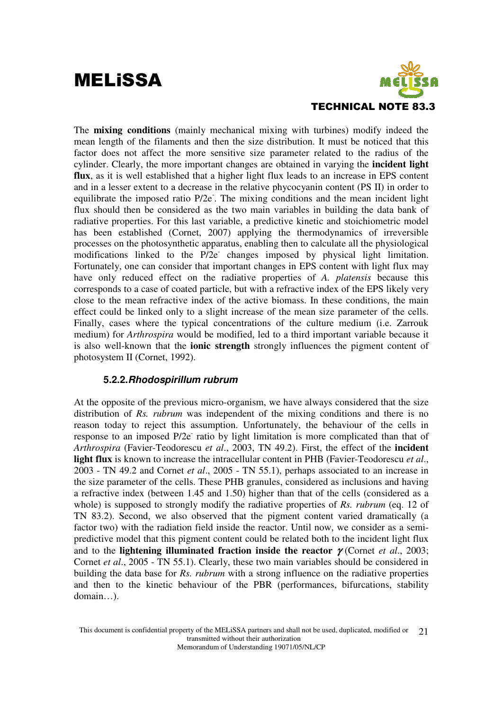

The **mixing conditions** (mainly mechanical mixing with turbines) modify indeed the mean length of the filaments and then the size distribution. It must be noticed that this factor does not affect the more sensitive size parameter related to the radius of the cylinder. Clearly, the more important changes are obtained in varying the **incident light flux**, as it is well established that a higher light flux leads to an increase in EPS content and in a lesser extent to a decrease in the relative phycocyanin content (PS II) in order to equilibrate the imposed ratio P/2e. The mixing conditions and the mean incident light flux should then be considered as the two main variables in building the data bank of radiative properties. For this last variable, a predictive kinetic and stoichiometric model has been established (Cornet, 2007) applying the thermodynamics of irreversible processes on the photosynthetic apparatus, enabling then to calculate all the physiological modifications linked to the P/2e changes imposed by physical light limitation. Fortunately, one can consider that important changes in EPS content with light flux may have only reduced effect on the radiative properties of *A. platensis* because this corresponds to a case of coated particle, but with a refractive index of the EPS likely very close to the mean refractive index of the active biomass. In these conditions, the main effect could be linked only to a slight increase of the mean size parameter of the cells. Finally, cases where the typical concentrations of the culture medium (i.e. Zarrouk medium) for *Arthrospira* would be modified, led to a third important variable because it is also well-known that the **ionic strength** strongly influences the pigment content of photosystem II (Cornet, 1992).

#### **5.2.2.Rhodospirillum rubrum**

At the opposite of the previous micro-organism, we have always considered that the size distribution of *Rs. rubrum* was independent of the mixing conditions and there is no reason today to reject this assumption. Unfortunately, the behaviour of the cells in response to an imposed P/2e ratio by light limitation is more complicated than that of *Arthrospira* (Favier-Teodorescu *et al*., 2003, TN 49.2). First, the effect of the **incident light flux** is known to increase the intracellular content in PHB (Favier-Teodorescu *et al*., 2003 - TN 49.2 and Cornet *et al*., 2005 - TN 55.1), perhaps associated to an increase in the size parameter of the cells. These PHB granules, considered as inclusions and having a refractive index (between 1.45 and 1.50) higher than that of the cells (considered as a whole) is supposed to strongly modify the radiative properties of *Rs. rubrum* (eq. 12 of TN 83.2). Second, we also observed that the pigment content varied dramatically (a factor two) with the radiation field inside the reactor. Until now, we consider as a semipredictive model that this pigment content could be related both to the incident light flux and to the **lightening illuminated fraction inside the reactor**  $\gamma$  (Cornet *et al.*, 2003; Cornet *et al*., 2005 - TN 55.1). Clearly, these two main variables should be considered in building the data base for *Rs. rubrum* with a strong influence on the radiative properties and then to the kinetic behaviour of the PBR (performances, bifurcations, stability domain…).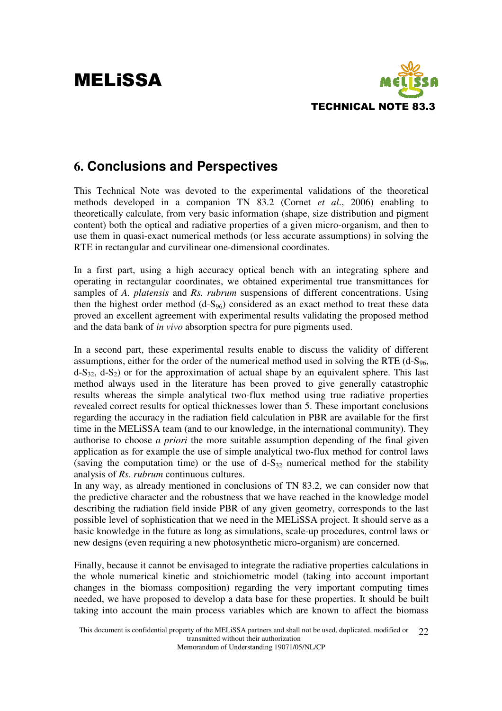

### **6. Conclusions and Perspectives**

This Technical Note was devoted to the experimental validations of the theoretical methods developed in a companion TN 83.2 (Cornet *et al*., 2006) enabling to theoretically calculate, from very basic information (shape, size distribution and pigment content) both the optical and radiative properties of a given micro-organism, and then to use them in quasi-exact numerical methods (or less accurate assumptions) in solving the RTE in rectangular and curvilinear one-dimensional coordinates.

In a first part, using a high accuracy optical bench with an integrating sphere and operating in rectangular coordinates, we obtained experimental true transmittances for samples of *A. platensis* and *Rs. rubrum* suspensions of different concentrations. Using then the highest order method  $(d-S_{96})$  considered as an exact method to treat these data proved an excellent agreement with experimental results validating the proposed method and the data bank of *in vivo* absorption spectra for pure pigments used.

In a second part, these experimental results enable to discuss the validity of different assumptions, either for the order of the numerical method used in solving the RTE  $(d-S<sub>96</sub>,$  $d-S_{32}$ ,  $d-S_2$ ) or for the approximation of actual shape by an equivalent sphere. This last method always used in the literature has been proved to give generally catastrophic results whereas the simple analytical two-flux method using true radiative properties revealed correct results for optical thicknesses lower than 5. These important conclusions regarding the accuracy in the radiation field calculation in PBR are available for the first time in the MELiSSA team (and to our knowledge, in the international community). They authorise to choose *a priori* the more suitable assumption depending of the final given application as for example the use of simple analytical two-flux method for control laws (saving the computation time) or the use of  $d-S_{32}$  numerical method for the stability analysis of *Rs. rubrum* continuous cultures.

In any way, as already mentioned in conclusions of TN 83.2, we can consider now that the predictive character and the robustness that we have reached in the knowledge model describing the radiation field inside PBR of any given geometry, corresponds to the last possible level of sophistication that we need in the MELiSSA project. It should serve as a basic knowledge in the future as long as simulations, scale-up procedures, control laws or new designs (even requiring a new photosynthetic micro-organism) are concerned.

Finally, because it cannot be envisaged to integrate the radiative properties calculations in the whole numerical kinetic and stoichiometric model (taking into account important changes in the biomass composition) regarding the very important computing times needed, we have proposed to develop a data base for these properties. It should be built taking into account the main process variables which are known to affect the biomass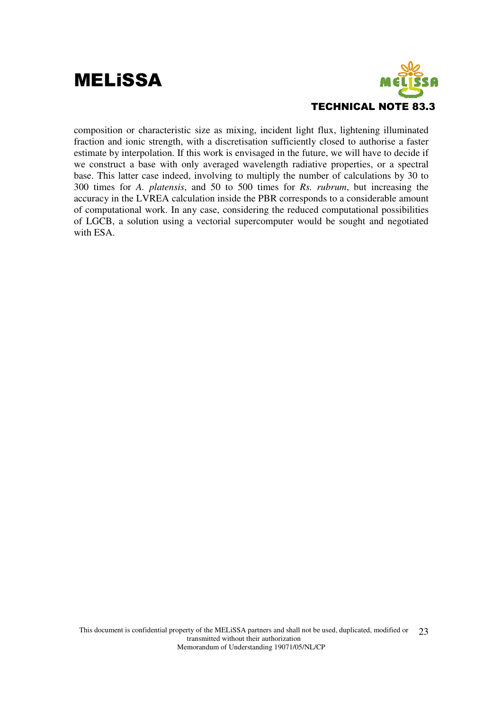

composition or characteristic size as mixing, incident light flux, lightening illuminated fraction and ionic strength, with a discretisation sufficiently closed to authorise a faster estimate by interpolation. If this work is envisaged in the future, we will have to decide if we construct a base with only averaged wavelength radiative properties, or a spectral base. This latter case indeed, involving to multiply the number of calculations by 30 to 300 times for *A. platensis*, and 50 to 500 times for *Rs. rubrum*, but increasing the accuracy in the LVREA calculation inside the PBR corresponds to a considerable amount of computational work. In any case, considering the reduced computational possibilities of LGCB, a solution using a vectorial supercomputer would be sought and negotiated with ESA.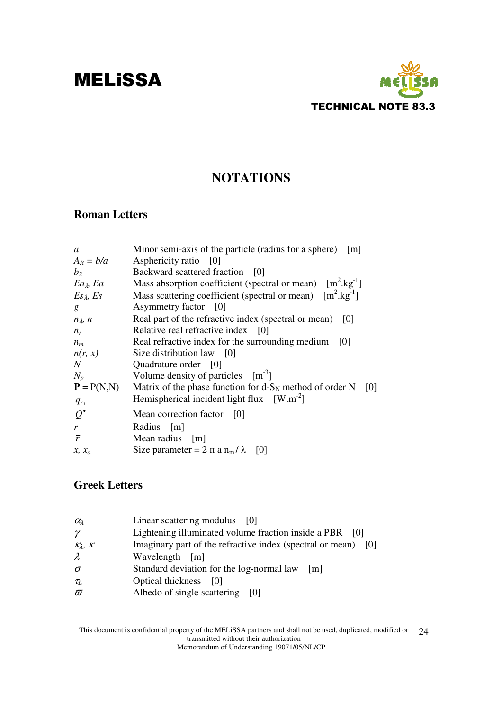

### **NOTATIONS**

#### **Roman Letters**

| Minor semi-axis of the particle (radius for a sphere) [m]              |
|------------------------------------------------------------------------|
| Asphericity ratio [0]                                                  |
| Backward scattered fraction<br>$\vert 0 \vert$                         |
| Mass absorption coefficient (spectral or mean) $[m^2 \text{kg}^{-1}]$  |
| Mass scattering coefficient (spectral or mean) $[m^2 \text{.kg}^{-1}]$ |
| Asymmetry factor [0]                                                   |
| Real part of the refractive index (spectral or mean)<br>[0]            |
| Relative real refractive index [0]                                     |
| Real refractive index for the surrounding medium<br>- 101              |
| Size distribution law [0]                                              |
| Quadrature order [0]                                                   |
| Volume density of particles $[m^{-3}]$                                 |
| Matrix of the phase function for $d-S_N$ method of order N [0]         |
| Hemispherical incident light flux $[W.m^{-2}]$                         |
| Mean correction factor [0]                                             |
| Radius [m]                                                             |
| Mean radius [m]                                                        |
| Size parameter = $2 \pi a n_m / \lambda$ [0]                           |
|                                                                        |

#### **Greek Letters**

| $\alpha_{\lambda}$  | Linear scattering modulus [0]                                     |
|---------------------|-------------------------------------------------------------------|
| $\gamma$            | Lightening illuminated volume fraction inside a PBR [0]           |
| $K_{\lambda}$ , $K$ | Imaginary part of the refractive index (spectral or mean)<br>-101 |
| $\lambda$           | Wavelength [m]                                                    |
| $\sigma$            | Standard deviation for the log-normal law<br>$\lfloor$ m          |
| $\tau_L$            | Optical thickness [0]                                             |
| $\varpi$            | Albedo of single scattering [0]                                   |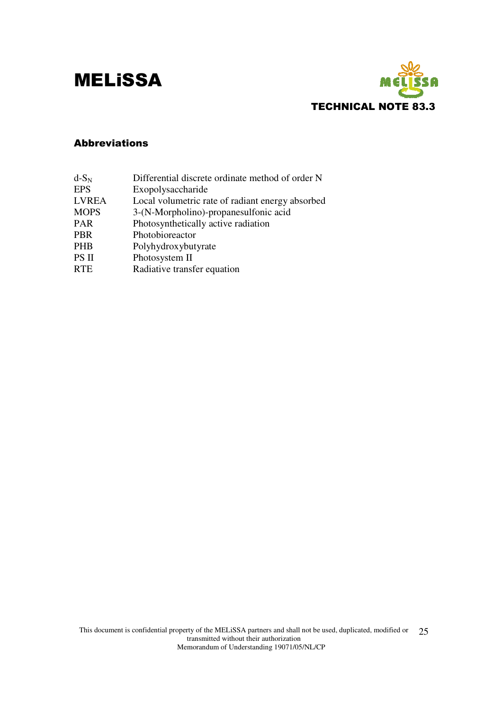

#### Abbreviations

| $d-S_N$      | Differential discrete ordinate method of order N |
|--------------|--------------------------------------------------|
| <b>EPS</b>   | Exopolysaccharide                                |
| <b>LVREA</b> | Local volumetric rate of radiant energy absorbed |
| <b>MOPS</b>  | 3-(N-Morpholino)-propanesulfonic acid            |
| <b>PAR</b>   | Photosynthetically active radiation              |
| <b>PBR</b>   | Photobioreactor                                  |
| <b>PHB</b>   | Polyhydroxybutyrate                              |
| PS II        | Photosystem II                                   |
| <b>RTE</b>   | Radiative transfer equation                      |
|              |                                                  |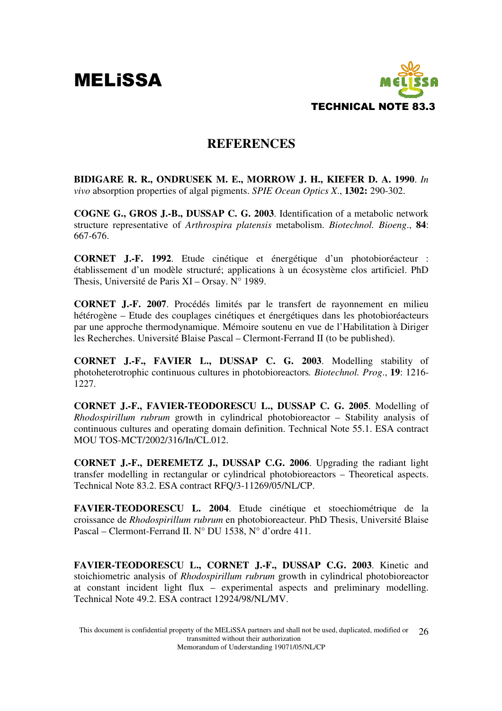

#### **REFERENCES**

**BIDIGARE R. R., ONDRUSEK M. E., MORROW J. H., KIEFER D. A. 1990**. *In vivo* absorption properties of algal pigments. *SPIE Ocean Optics X*., **1302:** 290-302.

**COGNE G., GROS J.-B., DUSSAP C. G. 2003**. Identification of a metabolic network structure representative of *Arthrospira platensis* metabolism. *Biotechnol. Bioeng*., **84**: 667-676.

**CORNET J.-F. 1992**. Etude cinétique et énergétique d'un photobioréacteur : établissement d'un modèle structuré; applications à un écosystème clos artificiel. PhD Thesis, Université de Paris XI – Orsay. N° 1989.

**CORNET J.-F. 2007**. Procédés limités par le transfert de rayonnement en milieu hétérogène – Etude des couplages cinétiques et énergétiques dans les photobioréacteurs par une approche thermodynamique. Mémoire soutenu en vue de l'Habilitation à Diriger les Recherches. Université Blaise Pascal – Clermont-Ferrand II (to be published).

**CORNET J.-F., FAVIER L., DUSSAP C. G. 2003**. Modelling stability of photoheterotrophic continuous cultures in photobioreactors*. Biotechnol. Prog*., **19**: 1216- 1227.

**CORNET J.-F., FAVIER-TEODORESCU L., DUSSAP C. G. 2005**. Modelling of *Rhodospirillum rubrum* growth in cylindrical photobioreactor – Stability analysis of continuous cultures and operating domain definition. Technical Note 55.1. ESA contract MOU TOS-MCT/2002/316/In/CL.012.

**CORNET J.-F., DEREMETZ J., DUSSAP C.G. 2006**. Upgrading the radiant light transfer modelling in rectangular or cylindrical photobioreactors – Theoretical aspects. Technical Note 83.2. ESA contract RFQ/3-11269/05/NL/CP.

**FAVIER-TEODORESCU L. 2004**. Etude cinétique et stoechiométrique de la croissance de *Rhodospirillum rubrum* en photobioreacteur. PhD Thesis, Université Blaise Pascal – Clermont-Ferrand II. N° DU 1538, N° d'ordre 411.

**FAVIER-TEODORESCU L., CORNET J.-F., DUSSAP C.G. 2003**. Kinetic and stoichiometric analysis of *Rhodospirillum rubrum* growth in cylindrical photobioreactor at constant incident light flux – experimental aspects and preliminary modelling. Technical Note 49.2. ESA contract 12924/98/NL/MV.